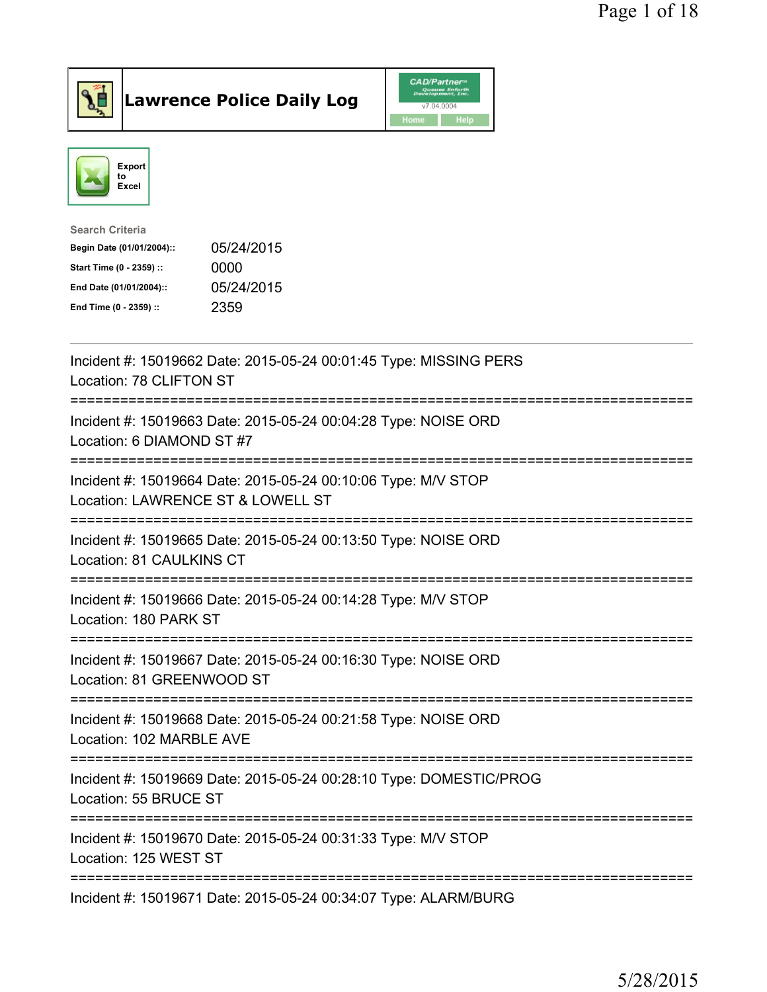





| <b>Search Criteria</b>    |            |
|---------------------------|------------|
| Begin Date (01/01/2004):: | 05/24/2015 |
| Start Time (0 - 2359) ::  | 0000       |
| End Date (01/01/2004)::   | 05/24/2015 |
| End Time (0 - 2359) ::    | 2359       |
|                           |            |

| Incident #: 15019662 Date: 2015-05-24 00:01:45 Type: MISSING PERS<br>Location: 78 CLIFTON ST               |
|------------------------------------------------------------------------------------------------------------|
| Incident #: 15019663 Date: 2015-05-24 00:04:28 Type: NOISE ORD<br>Location: 6 DIAMOND ST #7<br>----------  |
| Incident #: 15019664 Date: 2015-05-24 00:10:06 Type: M/V STOP<br>Location: LAWRENCE ST & LOWELL ST         |
| Incident #: 15019665 Date: 2015-05-24 00:13:50 Type: NOISE ORD<br>Location: 81 CAULKINS CT                 |
| Incident #: 15019666 Date: 2015-05-24 00:14:28 Type: M/V STOP<br>Location: 180 PARK ST                     |
| Incident #: 15019667 Date: 2015-05-24 00:16:30 Type: NOISE ORD<br>Location: 81 GREENWOOD ST                |
| Incident #: 15019668 Date: 2015-05-24 00:21:58 Type: NOISE ORD<br>Location: 102 MARBLE AVE<br>============ |
| Incident #: 15019669 Date: 2015-05-24 00:28:10 Type: DOMESTIC/PROG<br>Location: 55 BRUCE ST                |
| Incident #: 15019670 Date: 2015-05-24 00:31:33 Type: M/V STOP<br>Location: 125 WEST ST                     |
| Incident #: 15019671 Date: 2015-05-24 00:34:07 Type: ALARM/BURG                                            |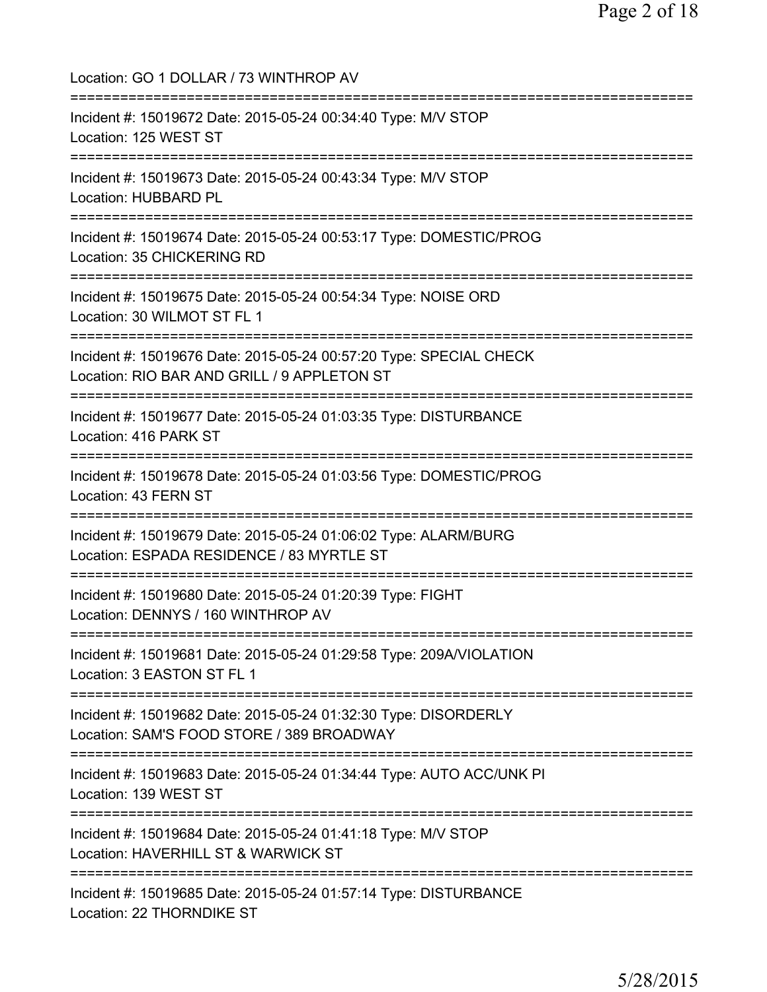Location: GO 1 DOLLAR / 73 WINTHROP AV =========================================================================== Incident #: 15019672 Date: 2015-05-24 00:34:40 Type: M/V STOP Location: 125 WEST ST =========================================================================== Incident #: 15019673 Date: 2015-05-24 00:43:34 Type: M/V STOP Location: HUBBARD PL =========================================================================== Incident #: 15019674 Date: 2015-05-24 00:53:17 Type: DOMESTIC/PROG Location: 35 CHICKERING RD =========================================================================== Incident #: 15019675 Date: 2015-05-24 00:54:34 Type: NOISE ORD Location: 30 WILMOT ST FL 1 =========================================================================== Incident #: 15019676 Date: 2015-05-24 00:57:20 Type: SPECIAL CHECK Location: RIO BAR AND GRILL / 9 APPLETON ST =========================================================================== Incident #: 15019677 Date: 2015-05-24 01:03:35 Type: DISTURBANCE Location: 416 PARK ST =========================================================================== Incident #: 15019678 Date: 2015-05-24 01:03:56 Type: DOMESTIC/PROG Location: 43 FERN ST =========================================================================== Incident #: 15019679 Date: 2015-05-24 01:06:02 Type: ALARM/BURG Location: ESPADA RESIDENCE / 83 MYRTLE ST =========================================================================== Incident #: 15019680 Date: 2015-05-24 01:20:39 Type: FIGHT Location: DENNYS / 160 WINTHROP AV =========================================================================== Incident #: 15019681 Date: 2015-05-24 01:29:58 Type: 209A/VIOLATION Location: 3 EASTON ST FL 1 =========================================================================== Incident #: 15019682 Date: 2015-05-24 01:32:30 Type: DISORDERLY Location: SAM'S FOOD STORE / 389 BROADWAY =========================================================================== Incident #: 15019683 Date: 2015-05-24 01:34:44 Type: AUTO ACC/UNK PI Location: 139 WEST ST =========================================================================== Incident #: 15019684 Date: 2015-05-24 01:41:18 Type: M/V STOP Location: HAVERHILL ST & WARWICK ST =========================================================================== Incident #: 15019685 Date: 2015-05-24 01:57:14 Type: DISTURBANCE Location: 22 THORNDIKE ST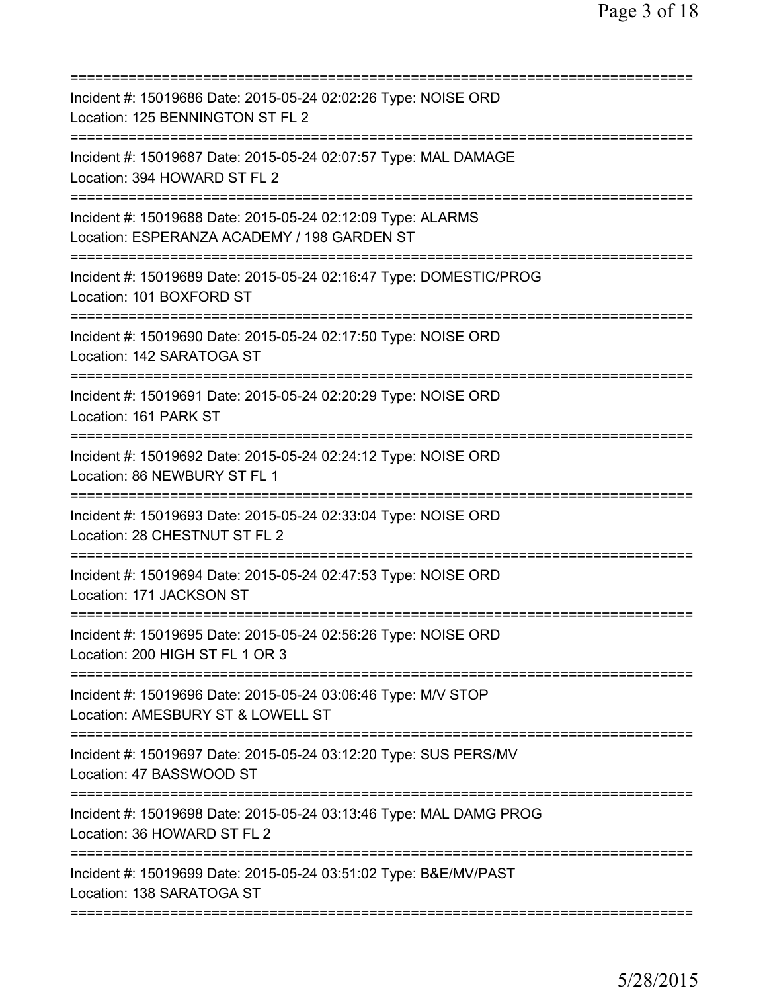| ==========================                                                                                                          |
|-------------------------------------------------------------------------------------------------------------------------------------|
| Incident #: 15019686 Date: 2015-05-24 02:02:26 Type: NOISE ORD<br>Location: 125 BENNINGTON ST FL 2                                  |
| Incident #: 15019687 Date: 2015-05-24 02:07:57 Type: MAL DAMAGE<br>Location: 394 HOWARD ST FL 2                                     |
| Incident #: 15019688 Date: 2015-05-24 02:12:09 Type: ALARMS<br>Location: ESPERANZA ACADEMY / 198 GARDEN ST<br>===================== |
| Incident #: 15019689 Date: 2015-05-24 02:16:47 Type: DOMESTIC/PROG<br>Location: 101 BOXFORD ST                                      |
| Incident #: 15019690 Date: 2015-05-24 02:17:50 Type: NOISE ORD<br>Location: 142 SARATOGA ST                                         |
| Incident #: 15019691 Date: 2015-05-24 02:20:29 Type: NOISE ORD<br>Location: 161 PARK ST                                             |
| Incident #: 15019692 Date: 2015-05-24 02:24:12 Type: NOISE ORD<br>Location: 86 NEWBURY ST FL 1                                      |
| Incident #: 15019693 Date: 2015-05-24 02:33:04 Type: NOISE ORD<br>Location: 28 CHESTNUT ST FL 2<br>:=============                   |
| Incident #: 15019694 Date: 2015-05-24 02:47:53 Type: NOISE ORD<br>Location: 171 JACKSON ST                                          |
| Incident #: 15019695 Date: 2015-05-24 02:56:26 Type: NOISE ORD<br>Location: 200 HIGH ST FL 1 OR 3                                   |
| Incident #: 15019696 Date: 2015-05-24 03:06:46 Type: M/V STOP<br>Location: AMESBURY ST & LOWELL ST                                  |
| Incident #: 15019697 Date: 2015-05-24 03:12:20 Type: SUS PERS/MV<br>Location: 47 BASSWOOD ST                                        |
| Incident #: 15019698 Date: 2015-05-24 03:13:46 Type: MAL DAMG PROG<br>Location: 36 HOWARD ST FL 2                                   |
| Incident #: 15019699 Date: 2015-05-24 03:51:02 Type: B&E/MV/PAST<br>Location: 138 SARATOGA ST                                       |
|                                                                                                                                     |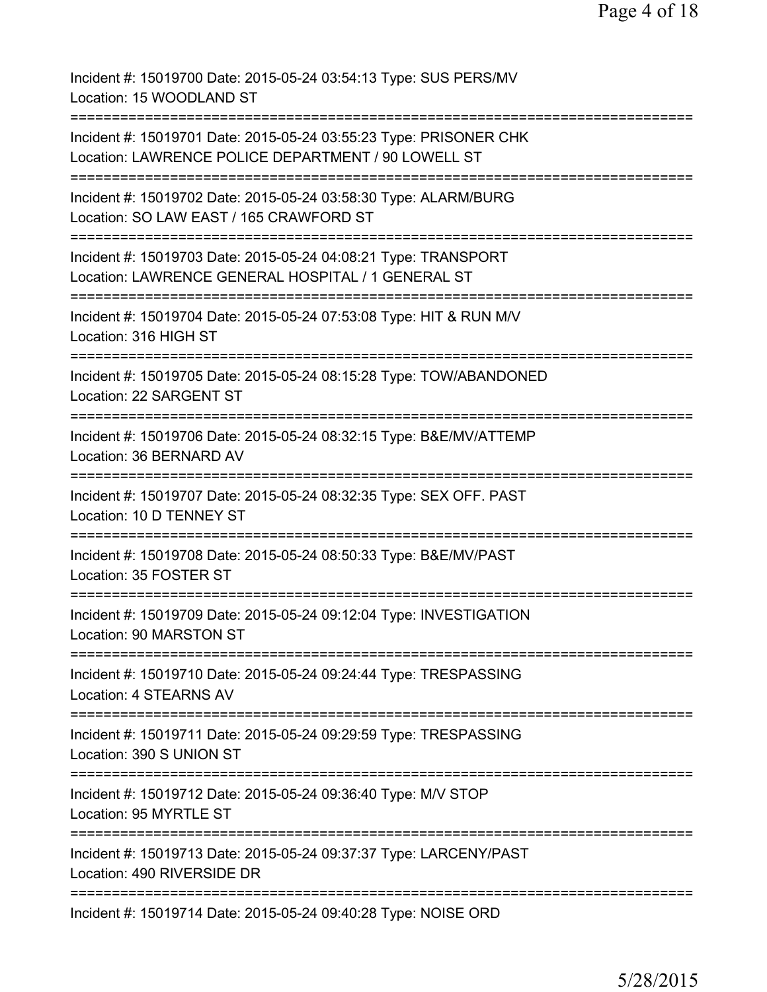| Incident #: 15019700 Date: 2015-05-24 03:54:13 Type: SUS PERS/MV<br>Location: 15 WOODLAND ST                                                            |
|---------------------------------------------------------------------------------------------------------------------------------------------------------|
| Incident #: 15019701 Date: 2015-05-24 03:55:23 Type: PRISONER CHK<br>Location: LAWRENCE POLICE DEPARTMENT / 90 LOWELL ST<br>=========================== |
| Incident #: 15019702 Date: 2015-05-24 03:58:30 Type: ALARM/BURG<br>Location: SO LAW EAST / 165 CRAWFORD ST                                              |
| Incident #: 15019703 Date: 2015-05-24 04:08:21 Type: TRANSPORT<br>Location: LAWRENCE GENERAL HOSPITAL / 1 GENERAL ST                                    |
| Incident #: 15019704 Date: 2015-05-24 07:53:08 Type: HIT & RUN M/V<br>Location: 316 HIGH ST                                                             |
| Incident #: 15019705 Date: 2015-05-24 08:15:28 Type: TOW/ABANDONED<br>Location: 22 SARGENT ST                                                           |
| Incident #: 15019706 Date: 2015-05-24 08:32:15 Type: B&E/MV/ATTEMP<br>Location: 36 BERNARD AV                                                           |
| Incident #: 15019707 Date: 2015-05-24 08:32:35 Type: SEX OFF. PAST<br>Location: 10 D TENNEY ST                                                          |
| Incident #: 15019708 Date: 2015-05-24 08:50:33 Type: B&E/MV/PAST<br>Location: 35 FOSTER ST                                                              |
| Incident #: 15019709 Date: 2015-05-24 09:12:04 Type: INVESTIGATION<br>Location: 90 MARSTON ST                                                           |
| Incident #: 15019710 Date: 2015-05-24 09:24:44 Type: TRESPASSING<br>Location: 4 STEARNS AV                                                              |
| ==================================<br>Incident #: 15019711 Date: 2015-05-24 09:29:59 Type: TRESPASSING<br>Location: 390 S UNION ST                      |
| Incident #: 15019712 Date: 2015-05-24 09:36:40 Type: M/V STOP<br>Location: 95 MYRTLE ST                                                                 |
| Incident #: 15019713 Date: 2015-05-24 09:37:37 Type: LARCENY/PAST<br>Location: 490 RIVERSIDE DR                                                         |
| Incident #: 15019714 Date: 2015-05-24 09:40:28 Type: NOISE ORD                                                                                          |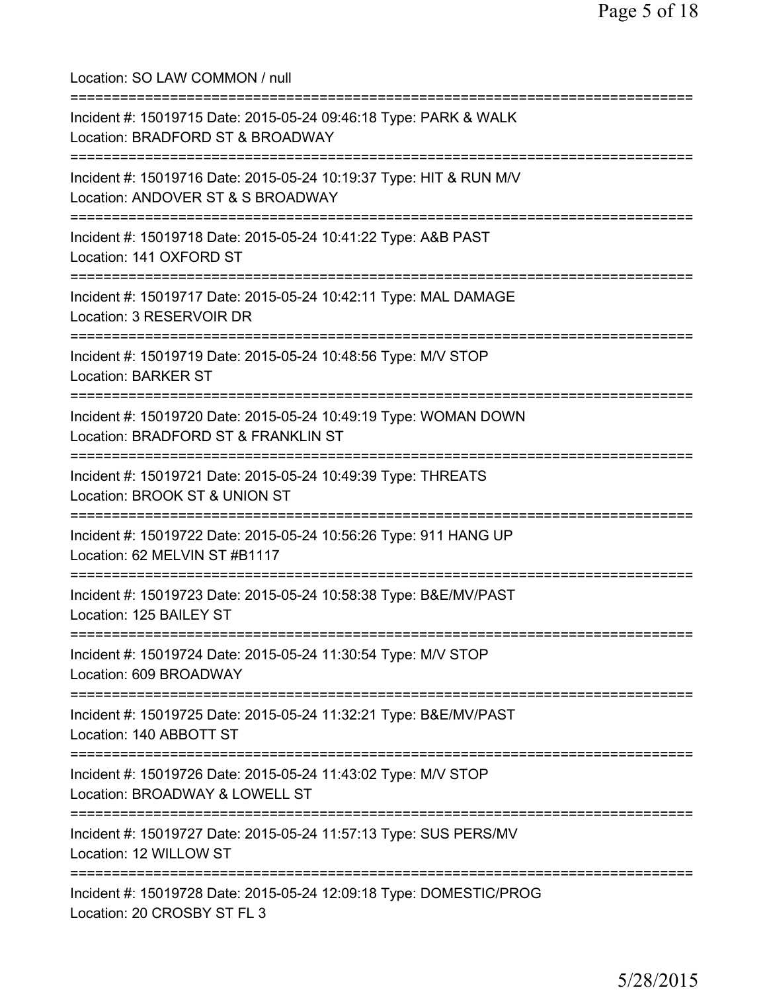Location: SO LAW COMMON / null =========================================================================== Incident #: 15019715 Date: 2015-05-24 09:46:18 Type: PARK & WALK Location: BRADFORD ST & BROADWAY =========================================================================== Incident #: 15019716 Date: 2015-05-24 10:19:37 Type: HIT & RUN M/V Location: ANDOVER ST & S BROADWAY =========================================================================== Incident #: 15019718 Date: 2015-05-24 10:41:22 Type: A&B PAST Location: 141 OXFORD ST =========================================================================== Incident #: 15019717 Date: 2015-05-24 10:42:11 Type: MAL DAMAGE Location: 3 RESERVOIR DR =========================================================================== Incident #: 15019719 Date: 2015-05-24 10:48:56 Type: M/V STOP Location: BARKER ST =========================================================================== Incident #: 15019720 Date: 2015-05-24 10:49:19 Type: WOMAN DOWN Location: BRADFORD ST & FRANKLIN ST =========================================================================== Incident #: 15019721 Date: 2015-05-24 10:49:39 Type: THREATS Location: BROOK ST & UNION ST =========================================================================== Incident #: 15019722 Date: 2015-05-24 10:56:26 Type: 911 HANG UP Location: 62 MELVIN ST #B1117 =========================================================================== Incident #: 15019723 Date: 2015-05-24 10:58:38 Type: B&E/MV/PAST Location: 125 BAILEY ST =========================================================================== Incident #: 15019724 Date: 2015-05-24 11:30:54 Type: M/V STOP Location: 609 BROADWAY =========================================================================== Incident #: 15019725 Date: 2015-05-24 11:32:21 Type: B&E/MV/PAST Location: 140 ABBOTT ST =========================================================================== Incident #: 15019726 Date: 2015-05-24 11:43:02 Type: M/V STOP Location: BROADWAY & LOWELL ST =========================================================================== Incident #: 15019727 Date: 2015-05-24 11:57:13 Type: SUS PERS/MV Location: 12 WILLOW ST =========================================================================== Incident #: 15019728 Date: 2015-05-24 12:09:18 Type: DOMESTIC/PROG Location: 20 CROSBY ST FL 3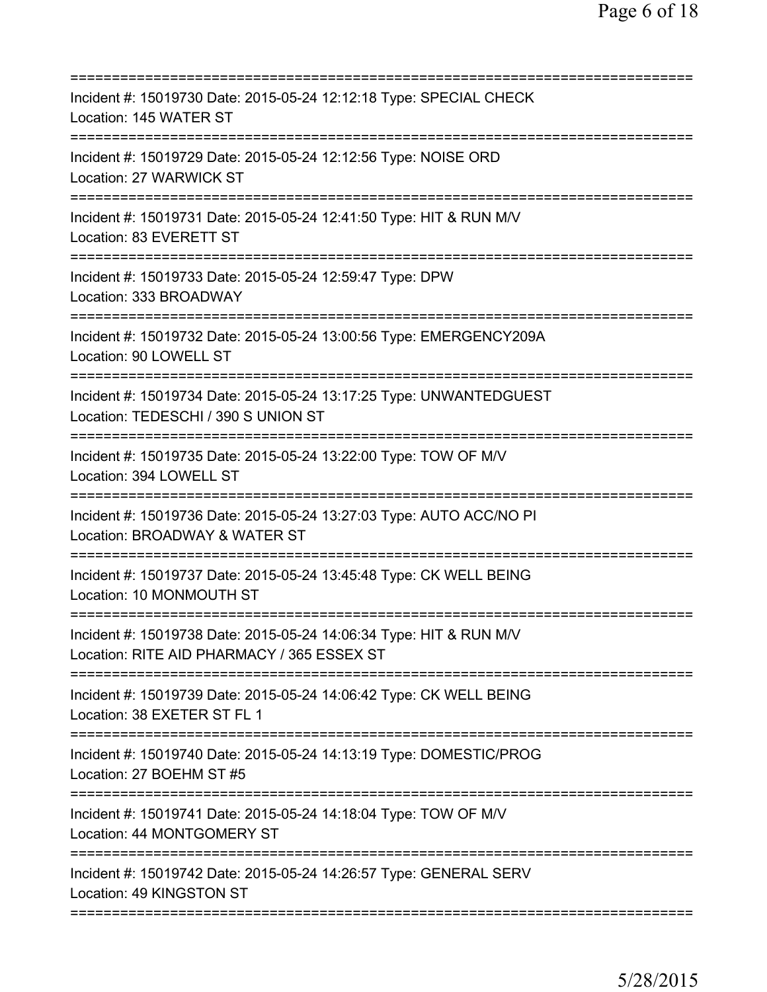| Incident #: 15019730 Date: 2015-05-24 12:12:18 Type: SPECIAL CHECK<br>Location: 145 WATER ST                                                  |
|-----------------------------------------------------------------------------------------------------------------------------------------------|
| Incident #: 15019729 Date: 2015-05-24 12:12:56 Type: NOISE ORD<br>Location: 27 WARWICK ST                                                     |
| Incident #: 15019731 Date: 2015-05-24 12:41:50 Type: HIT & RUN M/V<br>Location: 83 EVERETT ST                                                 |
| Incident #: 15019733 Date: 2015-05-24 12:59:47 Type: DPW<br>Location: 333 BROADWAY                                                            |
| Incident #: 15019732 Date: 2015-05-24 13:00:56 Type: EMERGENCY209A<br>Location: 90 LOWELL ST                                                  |
| Incident #: 15019734 Date: 2015-05-24 13:17:25 Type: UNWANTEDGUEST<br>Location: TEDESCHI / 390 S UNION ST<br>================================ |
| Incident #: 15019735 Date: 2015-05-24 13:22:00 Type: TOW OF M/V<br>Location: 394 LOWELL ST                                                    |
| Incident #: 15019736 Date: 2015-05-24 13:27:03 Type: AUTO ACC/NO PI<br>Location: BROADWAY & WATER ST                                          |
| Incident #: 15019737 Date: 2015-05-24 13:45:48 Type: CK WELL BEING<br>Location: 10 MONMOUTH ST                                                |
| Incident #: 15019738 Date: 2015-05-24 14:06:34 Type: HIT & RUN M/V<br>Location: RITE AID PHARMACY / 365 ESSEX ST                              |
| ;=====================================<br>Incident #: 15019739 Date: 2015-05-24 14:06:42 Type: CK WELL BEING<br>Location: 38 EXETER ST FL 1   |
| Incident #: 15019740 Date: 2015-05-24 14:13:19 Type: DOMESTIC/PROG<br>Location: 27 BOEHM ST #5                                                |
| Incident #: 15019741 Date: 2015-05-24 14:18:04 Type: TOW OF M/V<br>Location: 44 MONTGOMERY ST                                                 |
| Incident #: 15019742 Date: 2015-05-24 14:26:57 Type: GENERAL SERV<br>Location: 49 KINGSTON ST                                                 |
|                                                                                                                                               |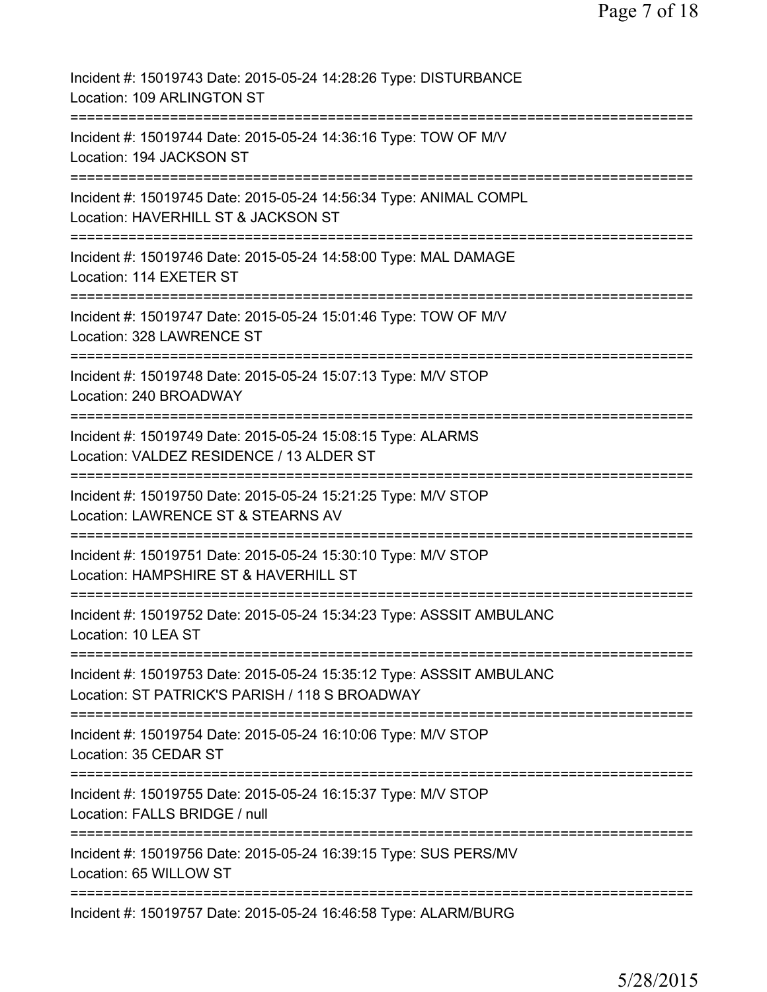| Incident #: 15019743 Date: 2015-05-24 14:28:26 Type: DISTURBANCE<br>Location: 109 ARLINGTON ST                                                     |
|----------------------------------------------------------------------------------------------------------------------------------------------------|
| Incident #: 15019744 Date: 2015-05-24 14:36:16 Type: TOW OF M/V<br>Location: 194 JACKSON ST                                                        |
| Incident #: 15019745 Date: 2015-05-24 14:56:34 Type: ANIMAL COMPL<br>Location: HAVERHILL ST & JACKSON ST                                           |
| Incident #: 15019746 Date: 2015-05-24 14:58:00 Type: MAL DAMAGE<br>Location: 114 EXETER ST                                                         |
| Incident #: 15019747 Date: 2015-05-24 15:01:46 Type: TOW OF M/V<br>Location: 328 LAWRENCE ST                                                       |
| Incident #: 15019748 Date: 2015-05-24 15:07:13 Type: M/V STOP<br>Location: 240 BROADWAY                                                            |
| Incident #: 15019749 Date: 2015-05-24 15:08:15 Type: ALARMS<br>Location: VALDEZ RESIDENCE / 13 ALDER ST                                            |
| Incident #: 15019750 Date: 2015-05-24 15:21:25 Type: M/V STOP<br>Location: LAWRENCE ST & STEARNS AV                                                |
| Incident #: 15019751 Date: 2015-05-24 15:30:10 Type: M/V STOP<br>Location: HAMPSHIRE ST & HAVERHILL ST                                             |
| Incident #: 15019752 Date: 2015-05-24 15:34:23 Type: ASSSIT AMBULANC<br>Location: 10 LEA ST                                                        |
| ========================<br>Incident #: 15019753 Date: 2015-05-24 15:35:12 Type: ASSSIT AMBULANC<br>Location: ST PATRICK'S PARISH / 118 S BROADWAY |
| Incident #: 15019754 Date: 2015-05-24 16:10:06 Type: M/V STOP<br>Location: 35 CEDAR ST                                                             |
| Incident #: 15019755 Date: 2015-05-24 16:15:37 Type: M/V STOP<br>Location: FALLS BRIDGE / null                                                     |
| Incident #: 15019756 Date: 2015-05-24 16:39:15 Type: SUS PERS/MV<br>Location: 65 WILLOW ST                                                         |
| Incident #: 15019757 Date: 2015-05-24 16:46:58 Type: ALARM/BURG                                                                                    |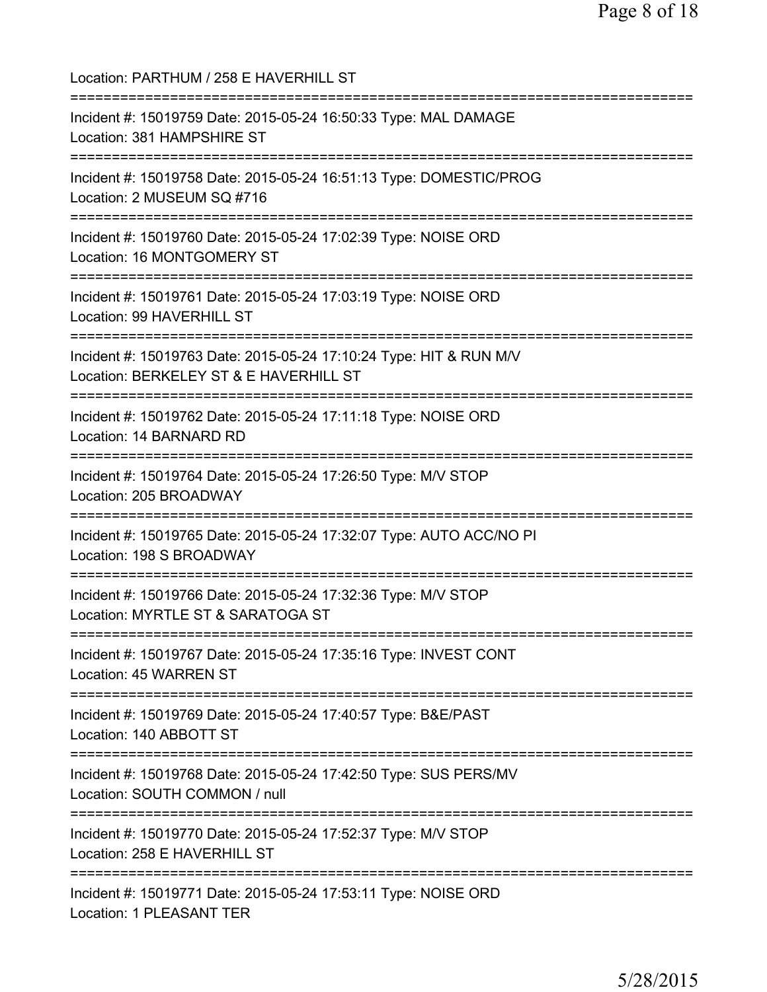Location: PARTHUM / 258 E HAVERHILL ST =========================================================================== Incident #: 15019759 Date: 2015-05-24 16:50:33 Type: MAL DAMAGE Location: 381 HAMPSHIRE ST =========================================================================== Incident #: 15019758 Date: 2015-05-24 16:51:13 Type: DOMESTIC/PROG Location: 2 MUSEUM SQ #716 =========================================================================== Incident #: 15019760 Date: 2015-05-24 17:02:39 Type: NOISE ORD Location: 16 MONTGOMERY ST =========================================================================== Incident #: 15019761 Date: 2015-05-24 17:03:19 Type: NOISE ORD Location: 99 HAVERHILL ST =========================================================================== Incident #: 15019763 Date: 2015-05-24 17:10:24 Type: HIT & RUN M/V Location: BERKELEY ST & E HAVERHILL ST =========================================================================== Incident #: 15019762 Date: 2015-05-24 17:11:18 Type: NOISE ORD Location: 14 BARNARD RD =========================================================================== Incident #: 15019764 Date: 2015-05-24 17:26:50 Type: M/V STOP Location: 205 BROADWAY =========================================================================== Incident #: 15019765 Date: 2015-05-24 17:32:07 Type: AUTO ACC/NO PI Location: 198 S BROADWAY =========================================================================== Incident #: 15019766 Date: 2015-05-24 17:32:36 Type: M/V STOP Location: MYRTLE ST & SARATOGA ST =========================================================================== Incident #: 15019767 Date: 2015-05-24 17:35:16 Type: INVEST CONT Location: 45 WARREN ST =========================================================================== Incident #: 15019769 Date: 2015-05-24 17:40:57 Type: B&E/PAST Location: 140 ABBOTT ST =========================================================================== Incident #: 15019768 Date: 2015-05-24 17:42:50 Type: SUS PERS/MV Location: SOUTH COMMON / null =========================================================================== Incident #: 15019770 Date: 2015-05-24 17:52:37 Type: M/V STOP Location: 258 E HAVERHILL ST =========================================================================== Incident #: 15019771 Date: 2015-05-24 17:53:11 Type: NOISE ORD Location: 1 PLEASANT TER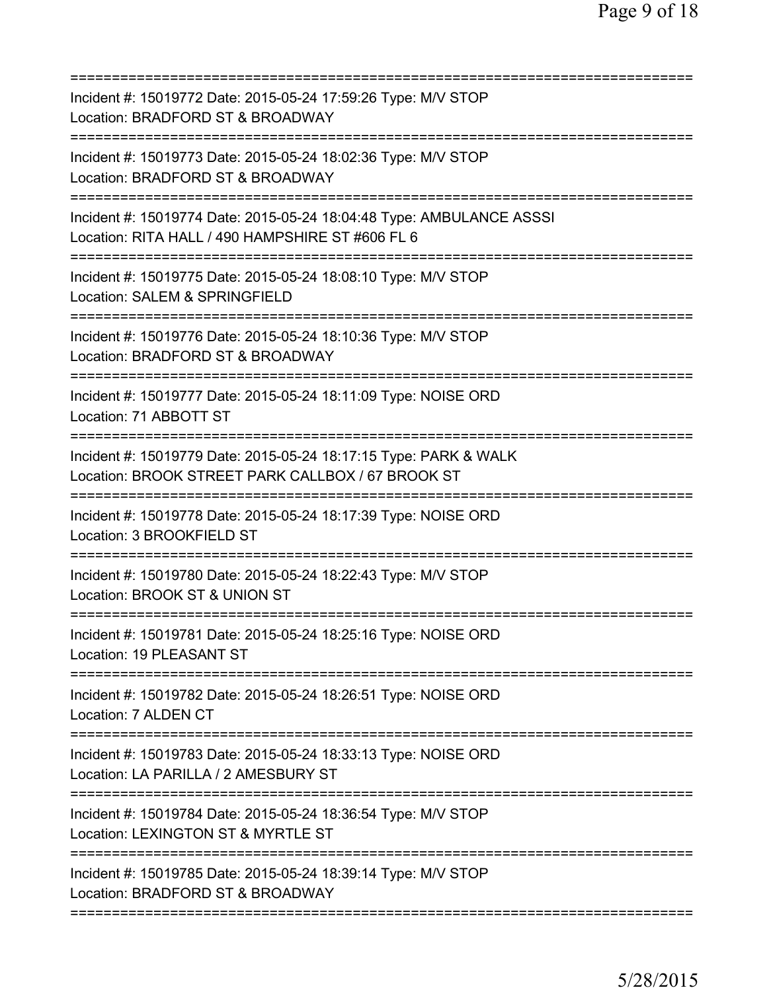| Incident #: 15019772 Date: 2015-05-24 17:59:26 Type: M/V STOP<br>Location: BRADFORD ST & BROADWAY                                                      |
|--------------------------------------------------------------------------------------------------------------------------------------------------------|
| Incident #: 15019773 Date: 2015-05-24 18:02:36 Type: M/V STOP<br>Location: BRADFORD ST & BROADWAY                                                      |
| Incident #: 15019774 Date: 2015-05-24 18:04:48 Type: AMBULANCE ASSSI<br>Location: RITA HALL / 490 HAMPSHIRE ST #606 FL 6<br>========================== |
| Incident #: 15019775 Date: 2015-05-24 18:08:10 Type: M/V STOP<br>Location: SALEM & SPRINGFIELD                                                         |
| Incident #: 15019776 Date: 2015-05-24 18:10:36 Type: M/V STOP<br>Location: BRADFORD ST & BROADWAY                                                      |
| Incident #: 15019777 Date: 2015-05-24 18:11:09 Type: NOISE ORD<br>Location: 71 ABBOTT ST                                                               |
| Incident #: 15019779 Date: 2015-05-24 18:17:15 Type: PARK & WALK<br>Location: BROOK STREET PARK CALLBOX / 67 BROOK ST                                  |
| Incident #: 15019778 Date: 2015-05-24 18:17:39 Type: NOISE ORD<br>Location: 3 BROOKFIELD ST                                                            |
| Incident #: 15019780 Date: 2015-05-24 18:22:43 Type: M/V STOP<br>Location: BROOK ST & UNION ST                                                         |
| Incident #: 15019781 Date: 2015-05-24 18:25:16 Type: NOISE ORD<br>Location: 19 PLEASANT ST                                                             |
| Incident #: 15019782 Date: 2015-05-24 18:26:51 Type: NOISE ORD<br>Location: 7 ALDEN CT                                                                 |
| Incident #: 15019783 Date: 2015-05-24 18:33:13 Type: NOISE ORD<br>Location: LA PARILLA / 2 AMESBURY ST<br>===============================              |
| Incident #: 15019784 Date: 2015-05-24 18:36:54 Type: M/V STOP<br>Location: LEXINGTON ST & MYRTLE ST                                                    |
| =============================<br>Incident #: 15019785 Date: 2015-05-24 18:39:14 Type: M/V STOP<br>Location: BRADFORD ST & BROADWAY                     |
|                                                                                                                                                        |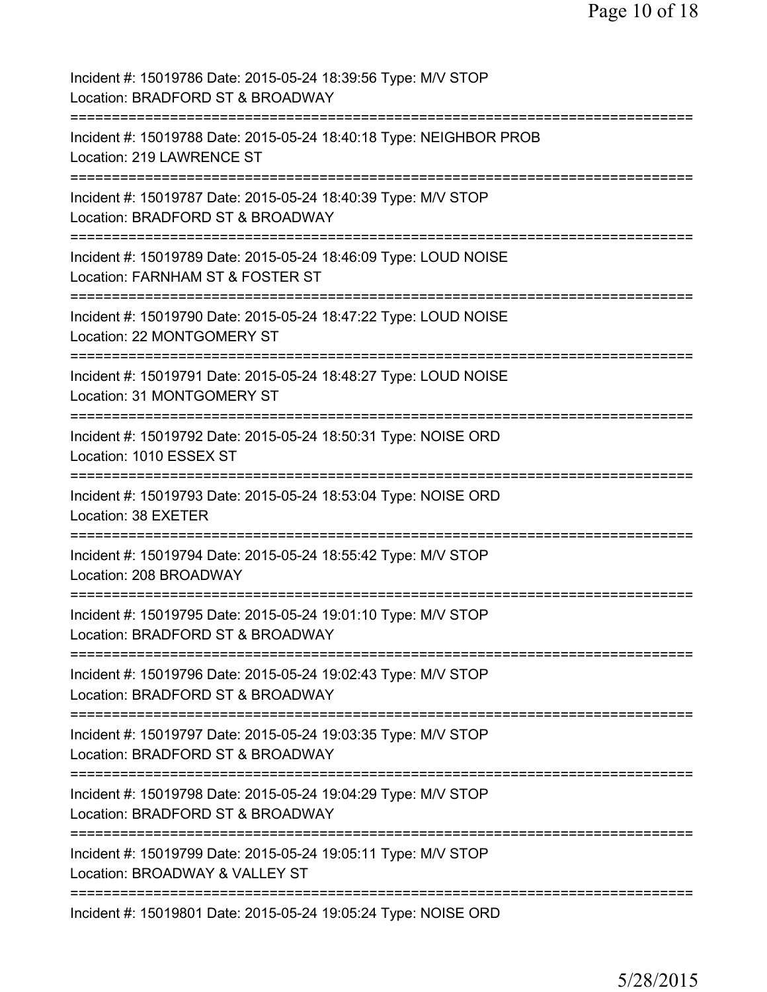| Incident #: 15019786 Date: 2015-05-24 18:39:56 Type: M/V STOP<br>Location: BRADFORD ST & BROADWAY                                                                    |
|----------------------------------------------------------------------------------------------------------------------------------------------------------------------|
| Incident #: 15019788 Date: 2015-05-24 18:40:18 Type: NEIGHBOR PROB<br>Location: 219 LAWRENCE ST                                                                      |
| Incident #: 15019787 Date: 2015-05-24 18:40:39 Type: M/V STOP<br>Location: BRADFORD ST & BROADWAY                                                                    |
| Incident #: 15019789 Date: 2015-05-24 18:46:09 Type: LOUD NOISE<br>Location: FARNHAM ST & FOSTER ST                                                                  |
| Incident #: 15019790 Date: 2015-05-24 18:47:22 Type: LOUD NOISE<br>Location: 22 MONTGOMERY ST                                                                        |
| Incident #: 15019791 Date: 2015-05-24 18:48:27 Type: LOUD NOISE<br>Location: 31 MONTGOMERY ST                                                                        |
| Incident #: 15019792 Date: 2015-05-24 18:50:31 Type: NOISE ORD<br>Location: 1010 ESSEX ST                                                                            |
| Incident #: 15019793 Date: 2015-05-24 18:53:04 Type: NOISE ORD<br>Location: 38 EXETER                                                                                |
| Incident #: 15019794 Date: 2015-05-24 18:55:42 Type: M/V STOP<br>Location: 208 BROADWAY                                                                              |
| ==================<br>Incident #: 15019795 Date: 2015-05-24 19:01:10 Type: M/V STOP<br>Location: BRADFORD ST & BROADWAY                                              |
| Incident #: 15019796 Date: 2015-05-24 19:02:43 Type: M/V STOP<br>Location: BRADFORD ST & BROADWAY                                                                    |
| =============================<br>==============================<br>Incident #: 15019797 Date: 2015-05-24 19:03:35 Type: M/V STOP<br>Location: BRADFORD ST & BROADWAY |
| Incident #: 15019798 Date: 2015-05-24 19:04:29 Type: M/V STOP<br>Location: BRADFORD ST & BROADWAY                                                                    |
| Incident #: 15019799 Date: 2015-05-24 19:05:11 Type: M/V STOP<br>Location: BROADWAY & VALLEY ST                                                                      |
| Incident #: 15019801 Date: 2015-05-24 19:05:24 Type: NOISE ORD                                                                                                       |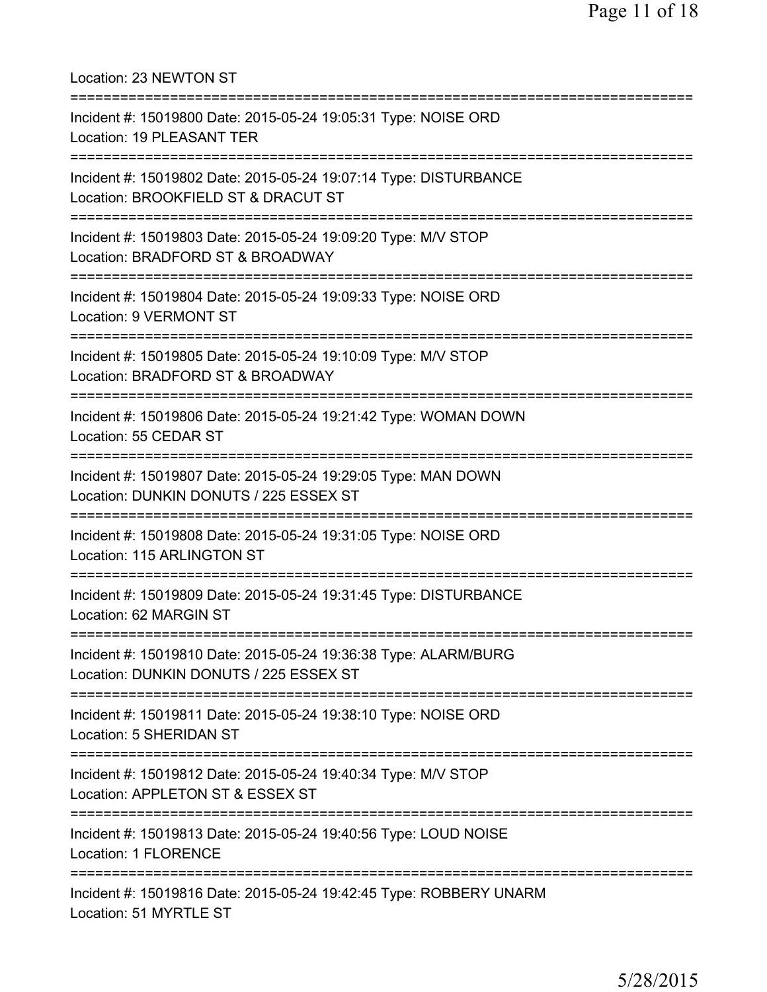Location: 23 NEWTON ST =========================================================================== Incident #: 15019800 Date: 2015-05-24 19:05:31 Type: NOISE ORD Location: 19 PLEASANT TER =========================================================================== Incident #: 15019802 Date: 2015-05-24 19:07:14 Type: DISTURBANCE Location: BROOKFIELD ST & DRACUT ST =========================================================================== Incident #: 15019803 Date: 2015-05-24 19:09:20 Type: M/V STOP Location: BRADFORD ST & BROADWAY =========================================================================== Incident #: 15019804 Date: 2015-05-24 19:09:33 Type: NOISE ORD Location: 9 VERMONT ST =========================================================================== Incident #: 15019805 Date: 2015-05-24 19:10:09 Type: M/V STOP Location: BRADFORD ST & BROADWAY =========================================================================== Incident #: 15019806 Date: 2015-05-24 19:21:42 Type: WOMAN DOWN Location: 55 CEDAR ST =========================================================================== Incident #: 15019807 Date: 2015-05-24 19:29:05 Type: MAN DOWN Location: DUNKIN DONUTS / 225 ESSEX ST =========================================================================== Incident #: 15019808 Date: 2015-05-24 19:31:05 Type: NOISE ORD Location: 115 ARLINGTON ST =========================================================================== Incident #: 15019809 Date: 2015-05-24 19:31:45 Type: DISTURBANCE Location: 62 MARGIN ST =========================================================================== Incident #: 15019810 Date: 2015-05-24 19:36:38 Type: ALARM/BURG Location: DUNKIN DONUTS / 225 ESSEX ST =========================================================================== Incident #: 15019811 Date: 2015-05-24 19:38:10 Type: NOISE ORD Location: 5 SHERIDAN ST =========================================================================== Incident #: 15019812 Date: 2015-05-24 19:40:34 Type: M/V STOP Location: APPLETON ST & ESSEX ST =========================================================================== Incident #: 15019813 Date: 2015-05-24 19:40:56 Type: LOUD NOISE Location: 1 FLORENCE =========================================================================== Incident #: 15019816 Date: 2015-05-24 19:42:45 Type: ROBBERY UNARM Location: 51 MYRTLE ST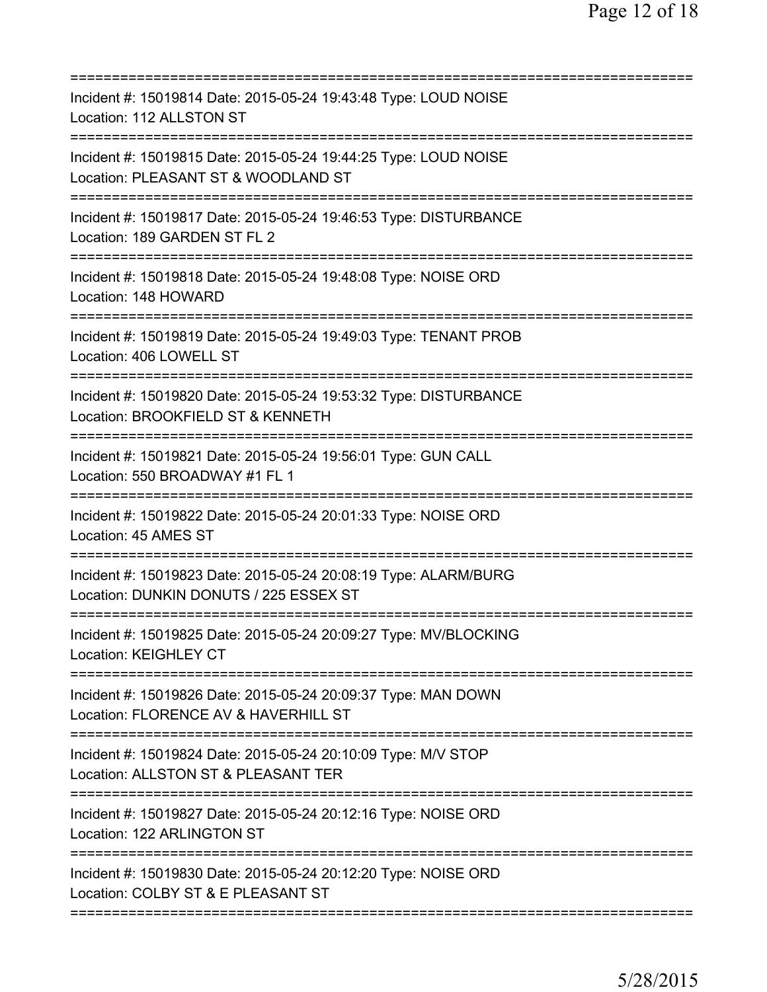| Incident #: 15019814 Date: 2015-05-24 19:43:48 Type: LOUD NOISE<br>Location: 112 ALLSTON ST                                                             |
|---------------------------------------------------------------------------------------------------------------------------------------------------------|
| Incident #: 15019815 Date: 2015-05-24 19:44:25 Type: LOUD NOISE<br>Location: PLEASANT ST & WOODLAND ST                                                  |
| =================================<br>Incident #: 15019817 Date: 2015-05-24 19:46:53 Type: DISTURBANCE<br>Location: 189 GARDEN ST FL 2                   |
| Incident #: 15019818 Date: 2015-05-24 19:48:08 Type: NOISE ORD<br>Location: 148 HOWARD                                                                  |
| Incident #: 15019819 Date: 2015-05-24 19:49:03 Type: TENANT PROB<br>Location: 406 LOWELL ST                                                             |
| Incident #: 15019820 Date: 2015-05-24 19:53:32 Type: DISTURBANCE<br>Location: BROOKFIELD ST & KENNETH                                                   |
| ========================<br>Incident #: 15019821 Date: 2015-05-24 19:56:01 Type: GUN CALL<br>Location: 550 BROADWAY #1 FL 1<br>======================== |
| Incident #: 15019822 Date: 2015-05-24 20:01:33 Type: NOISE ORD<br>Location: 45 AMES ST                                                                  |
| Incident #: 15019823 Date: 2015-05-24 20:08:19 Type: ALARM/BURG<br>Location: DUNKIN DONUTS / 225 ESSEX ST                                               |
| Incident #: 15019825 Date: 2015-05-24 20:09:27 Type: MV/BLOCKING<br><b>Location: KEIGHLEY CT</b>                                                        |
| Incident #: 15019826 Date: 2015-05-24 20:09:37 Type: MAN DOWN<br>Location: FLORENCE AV & HAVERHILL ST<br>=====================================          |
| Incident #: 15019824 Date: 2015-05-24 20:10:09 Type: M/V STOP<br>Location: ALLSTON ST & PLEASANT TER                                                    |
| Incident #: 15019827 Date: 2015-05-24 20:12:16 Type: NOISE ORD<br>Location: 122 ARLINGTON ST                                                            |
| Incident #: 15019830 Date: 2015-05-24 20:12:20 Type: NOISE ORD<br>Location: COLBY ST & E PLEASANT ST                                                    |
|                                                                                                                                                         |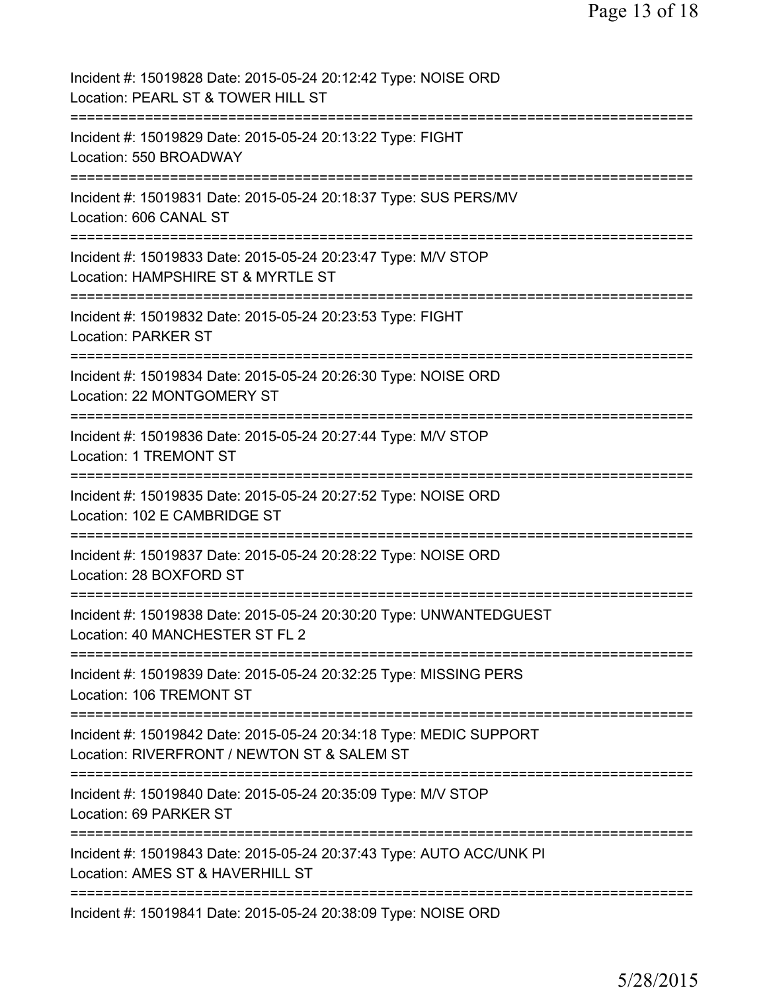| Incident #: 15019828 Date: 2015-05-24 20:12:42 Type: NOISE ORD<br>Location: PEARL ST & TOWER HILL ST              |
|-------------------------------------------------------------------------------------------------------------------|
| Incident #: 15019829 Date: 2015-05-24 20:13:22 Type: FIGHT<br>Location: 550 BROADWAY                              |
| Incident #: 15019831 Date: 2015-05-24 20:18:37 Type: SUS PERS/MV<br>Location: 606 CANAL ST                        |
| Incident #: 15019833 Date: 2015-05-24 20:23:47 Type: M/V STOP<br>Location: HAMPSHIRE ST & MYRTLE ST               |
| Incident #: 15019832 Date: 2015-05-24 20:23:53 Type: FIGHT<br>Location: PARKER ST                                 |
| Incident #: 15019834 Date: 2015-05-24 20:26:30 Type: NOISE ORD<br>Location: 22 MONTGOMERY ST                      |
| Incident #: 15019836 Date: 2015-05-24 20:27:44 Type: M/V STOP<br>Location: 1 TREMONT ST                           |
| Incident #: 15019835 Date: 2015-05-24 20:27:52 Type: NOISE ORD<br>Location: 102 E CAMBRIDGE ST                    |
| Incident #: 15019837 Date: 2015-05-24 20:28:22 Type: NOISE ORD<br>Location: 28 BOXFORD ST                         |
| Incident #: 15019838 Date: 2015-05-24 20:30:20 Type: UNWANTEDGUEST<br>Location: 40 MANCHESTER ST FL 2             |
| Incident #: 15019839 Date: 2015-05-24 20:32:25 Type: MISSING PERS<br>Location: 106 TREMONT ST                     |
| Incident #: 15019842 Date: 2015-05-24 20:34:18 Type: MEDIC SUPPORT<br>Location: RIVERFRONT / NEWTON ST & SALEM ST |
| Incident #: 15019840 Date: 2015-05-24 20:35:09 Type: M/V STOP<br>Location: 69 PARKER ST                           |
| Incident #: 15019843 Date: 2015-05-24 20:37:43 Type: AUTO ACC/UNK PI<br>Location: AMES ST & HAVERHILL ST          |
| Incident #: 15019841 Date: 2015-05-24 20:38:09 Type: NOISE ORD                                                    |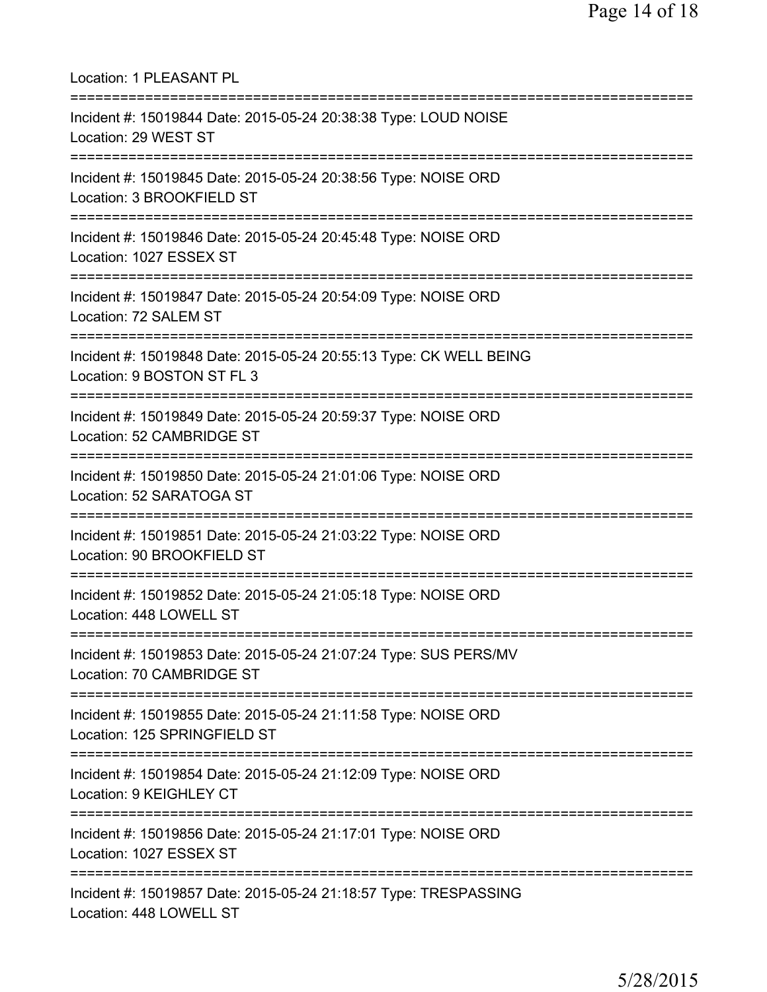| Location: 1 PLEASANT PL<br>===========================                                                                                |
|---------------------------------------------------------------------------------------------------------------------------------------|
| Incident #: 15019844 Date: 2015-05-24 20:38:38 Type: LOUD NOISE<br>Location: 29 WEST ST<br>================================           |
| Incident #: 15019845 Date: 2015-05-24 20:38:56 Type: NOISE ORD<br>Location: 3 BROOKFIELD ST                                           |
| ===================================<br>Incident #: 15019846 Date: 2015-05-24 20:45:48 Type: NOISE ORD<br>Location: 1027 ESSEX ST      |
| Incident #: 15019847 Date: 2015-05-24 20:54:09 Type: NOISE ORD<br>Location: 72 SALEM ST                                               |
| Incident #: 15019848 Date: 2015-05-24 20:55:13 Type: CK WELL BEING<br>Location: 9 BOSTON ST FL 3                                      |
| Incident #: 15019849 Date: 2015-05-24 20:59:37 Type: NOISE ORD<br>Location: 52 CAMBRIDGE ST                                           |
| Incident #: 15019850 Date: 2015-05-24 21:01:06 Type: NOISE ORD<br>Location: 52 SARATOGA ST<br>===========================             |
| Incident #: 15019851 Date: 2015-05-24 21:03:22 Type: NOISE ORD<br>Location: 90 BROOKFIELD ST                                          |
| Incident #: 15019852 Date: 2015-05-24 21:05:18 Type: NOISE ORD<br>Location: 448 LOWELL ST                                             |
| ====================================<br>Incident #: 15019853 Date: 2015-05-24 21:07:24 Type: SUS PERS/MV<br>Location: 70 CAMBRIDGE ST |
| Incident #: 15019855 Date: 2015-05-24 21:11:58 Type: NOISE ORD<br>Location: 125 SPRINGFIELD ST                                        |
| ============<br>Incident #: 15019854 Date: 2015-05-24 21:12:09 Type: NOISE ORD<br>Location: 9 KEIGHLEY CT                             |
| Incident #: 15019856 Date: 2015-05-24 21:17:01 Type: NOISE ORD<br>Location: 1027 ESSEX ST                                             |
| ===================<br>Incident #: 15019857 Date: 2015-05-24 21:18:57 Type: TRESPASSING<br>Location: 448 LOWELL ST                    |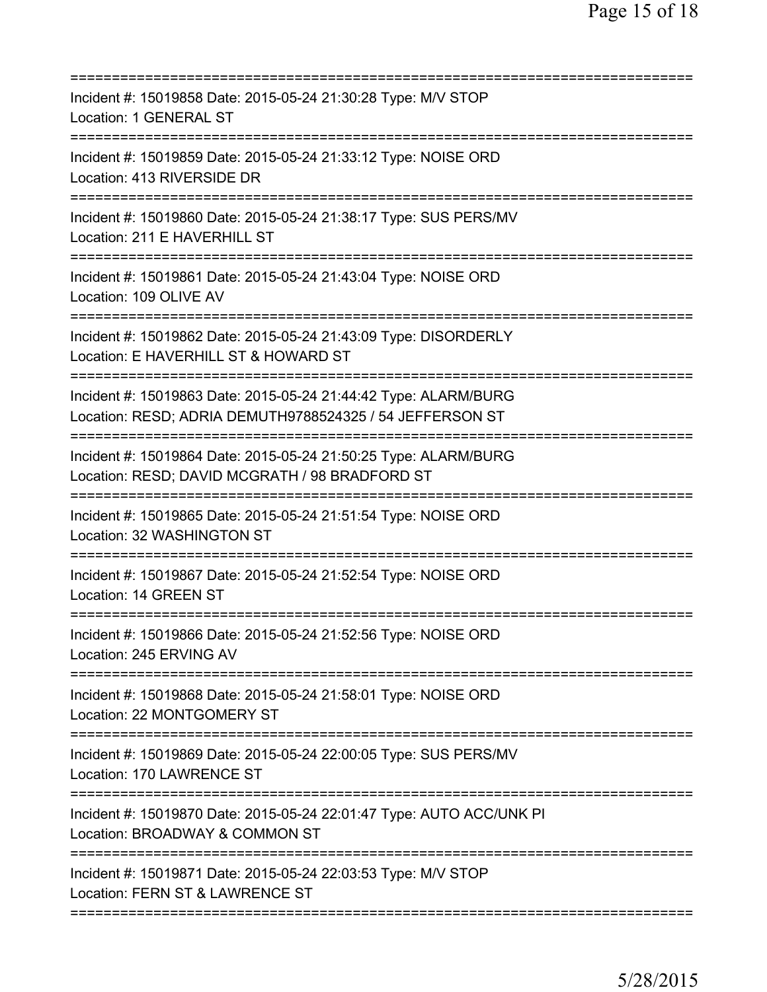| ========================                                                                                                                                            |
|---------------------------------------------------------------------------------------------------------------------------------------------------------------------|
| Incident #: 15019858 Date: 2015-05-24 21:30:28 Type: M/V STOP<br>Location: 1 GENERAL ST<br>===================<br>============                                      |
| Incident #: 15019859 Date: 2015-05-24 21:33:12 Type: NOISE ORD<br>Location: 413 RIVERSIDE DR                                                                        |
| Incident #: 15019860 Date: 2015-05-24 21:38:17 Type: SUS PERS/MV<br>Location: 211 E HAVERHILL ST                                                                    |
| Incident #: 15019861 Date: 2015-05-24 21:43:04 Type: NOISE ORD<br>Location: 109 OLIVE AV                                                                            |
| Incident #: 15019862 Date: 2015-05-24 21:43:09 Type: DISORDERLY<br>Location: E HAVERHILL ST & HOWARD ST                                                             |
| Incident #: 15019863 Date: 2015-05-24 21:44:42 Type: ALARM/BURG<br>Location: RESD; ADRIA DEMUTH9788524325 / 54 JEFFERSON ST                                         |
| Incident #: 15019864 Date: 2015-05-24 21:50:25 Type: ALARM/BURG<br>Location: RESD; DAVID MCGRATH / 98 BRADFORD ST<br>==============================<br>============ |
| Incident #: 15019865 Date: 2015-05-24 21:51:54 Type: NOISE ORD<br>Location: 32 WASHINGTON ST<br>============                                                        |
| Incident #: 15019867 Date: 2015-05-24 21:52:54 Type: NOISE ORD<br>Location: 14 GREEN ST                                                                             |
| Incident #: 15019866 Date: 2015-05-24 21:52:56 Type: NOISE ORD<br>Location: 245 ERVING AV                                                                           |
| Incident #: 15019868 Date: 2015-05-24 21:58:01 Type: NOISE ORD<br>Location: 22 MONTGOMERY ST                                                                        |
| Incident #: 15019869 Date: 2015-05-24 22:00:05 Type: SUS PERS/MV<br>Location: 170 LAWRENCE ST                                                                       |
| Incident #: 15019870 Date: 2015-05-24 22:01:47 Type: AUTO ACC/UNK PI<br>Location: BROADWAY & COMMON ST                                                              |
| Incident #: 15019871 Date: 2015-05-24 22:03:53 Type: M/V STOP<br>Location: FERN ST & LAWRENCE ST                                                                    |
|                                                                                                                                                                     |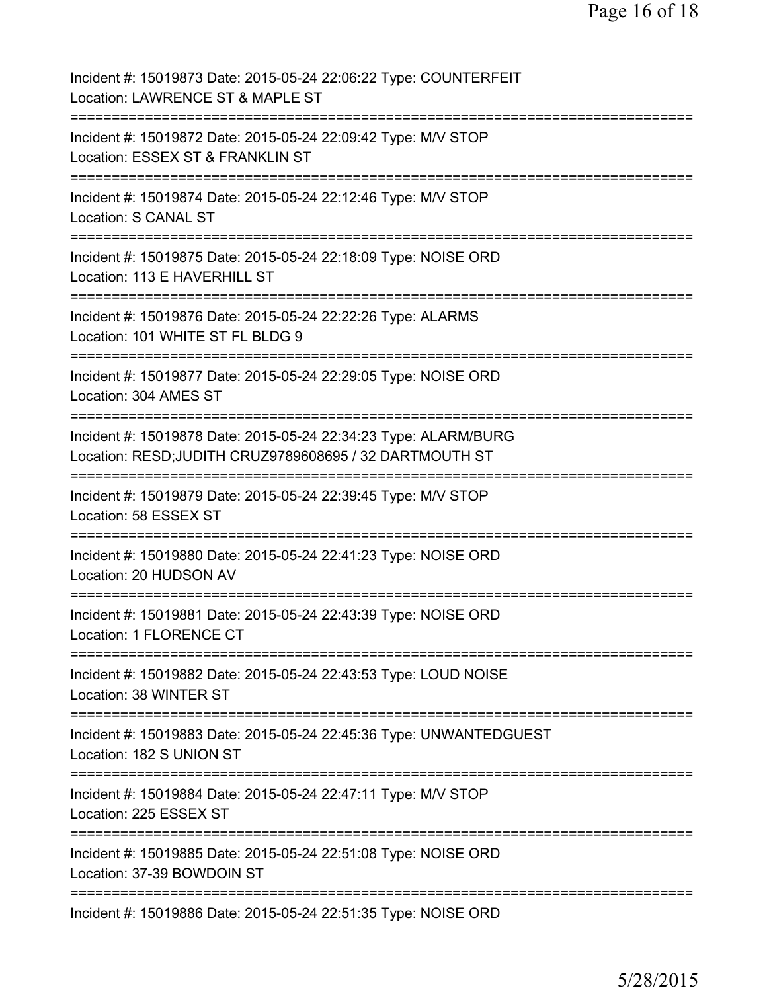| Incident #: 15019873 Date: 2015-05-24 22:06:22 Type: COUNTERFEIT<br>Location: LAWRENCE ST & MAPLE ST                      |
|---------------------------------------------------------------------------------------------------------------------------|
| Incident #: 15019872 Date: 2015-05-24 22:09:42 Type: M/V STOP<br>Location: ESSEX ST & FRANKLIN ST                         |
| Incident #: 15019874 Date: 2015-05-24 22:12:46 Type: M/V STOP<br>Location: S CANAL ST                                     |
| Incident #: 15019875 Date: 2015-05-24 22:18:09 Type: NOISE ORD<br>Location: 113 E HAVERHILL ST                            |
| Incident #: 15019876 Date: 2015-05-24 22:22:26 Type: ALARMS<br>Location: 101 WHITE ST FL BLDG 9                           |
| Incident #: 15019877 Date: 2015-05-24 22:29:05 Type: NOISE ORD<br>Location: 304 AMES ST<br>---------------                |
| Incident #: 15019878 Date: 2015-05-24 22:34:23 Type: ALARM/BURG<br>Location: RESD;JUDITH CRUZ9789608695 / 32 DARTMOUTH ST |
| Incident #: 15019879 Date: 2015-05-24 22:39:45 Type: M/V STOP<br>Location: 58 ESSEX ST                                    |
| Incident #: 15019880 Date: 2015-05-24 22:41:23 Type: NOISE ORD<br>Location: 20 HUDSON AV<br>------------------            |
| Incident #: 15019881 Date: 2015-05-24 22:43:39 Type: NOISE ORD<br><b>Location: 1 FLORENCE CT</b>                          |
| Incident #: 15019882 Date: 2015-05-24 22:43:53 Type: LOUD NOISE<br>Location: 38 WINTER ST                                 |
| Incident #: 15019883 Date: 2015-05-24 22:45:36 Type: UNWANTEDGUEST<br>Location: 182 S UNION ST                            |
| Incident #: 15019884 Date: 2015-05-24 22:47:11 Type: M/V STOP<br>Location: 225 ESSEX ST                                   |
| Incident #: 15019885 Date: 2015-05-24 22:51:08 Type: NOISE ORD<br>Location: 37-39 BOWDOIN ST                              |
| Incident #: 15019886 Date: 2015-05-24 22:51:35 Type: NOISE ORD                                                            |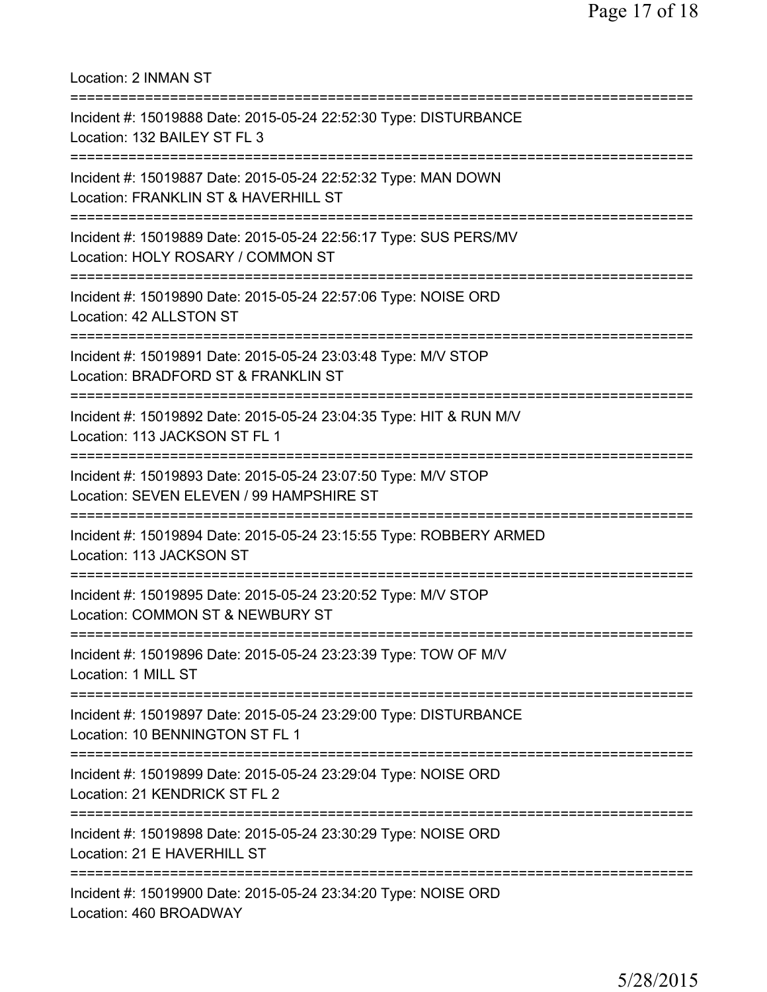| Location: 2 INMAN ST                                                                                                                      |
|-------------------------------------------------------------------------------------------------------------------------------------------|
| Incident #: 15019888 Date: 2015-05-24 22:52:30 Type: DISTURBANCE<br>Location: 132 BAILEY ST FL 3<br>:====================                 |
| Incident #: 15019887 Date: 2015-05-24 22:52:32 Type: MAN DOWN<br>Location: FRANKLIN ST & HAVERHILL ST<br>-------------------------------  |
| Incident #: 15019889 Date: 2015-05-24 22:56:17 Type: SUS PERS/MV<br>Location: HOLY ROSARY / COMMON ST<br>================================ |
| Incident #: 15019890 Date: 2015-05-24 22:57:06 Type: NOISE ORD<br>Location: 42 ALLSTON ST                                                 |
| Incident #: 15019891 Date: 2015-05-24 23:03:48 Type: M/V STOP<br>Location: BRADFORD ST & FRANKLIN ST                                      |
| Incident #: 15019892 Date: 2015-05-24 23:04:35 Type: HIT & RUN M/V<br>Location: 113 JACKSON ST FL 1                                       |
| Incident #: 15019893 Date: 2015-05-24 23:07:50 Type: M/V STOP<br>Location: SEVEN ELEVEN / 99 HAMPSHIRE ST                                 |
| Incident #: 15019894 Date: 2015-05-24 23:15:55 Type: ROBBERY ARMED<br>Location: 113 JACKSON ST                                            |
| Incident #: 15019895 Date: 2015-05-24 23:20:52 Type: M/V STOP<br>Location: COMMON ST & NEWBURY ST                                         |
| Incident #: 15019896 Date: 2015-05-24 23:23:39 Type: TOW OF M/V<br>Location: 1 MILL ST                                                    |
| Incident #: 15019897 Date: 2015-05-24 23:29:00 Type: DISTURBANCE<br>Location: 10 BENNINGTON ST FL 1                                       |
| Incident #: 15019899 Date: 2015-05-24 23:29:04 Type: NOISE ORD<br>Location: 21 KENDRICK ST FL 2                                           |
| Incident #: 15019898 Date: 2015-05-24 23:30:29 Type: NOISE ORD<br>Location: 21 E HAVERHILL ST                                             |
| Incident #: 15019900 Date: 2015-05-24 23:34:20 Type: NOISE ORD<br>Location: 460 BROADWAY                                                  |